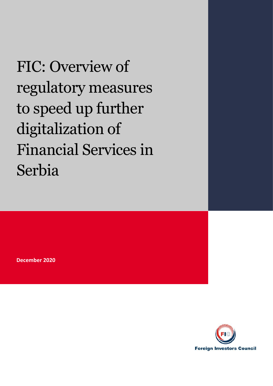FIC: Overview of regulatory measures to speed up further digitalization of Financial Services in Serbia

**December 2020**

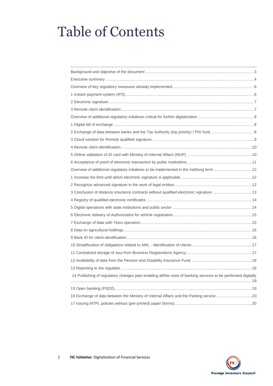# Table of Contents

| Overview of additional regulatory initiatives to be implemented in the mid/long term 12                      |  |
|--------------------------------------------------------------------------------------------------------------|--|
|                                                                                                              |  |
|                                                                                                              |  |
| 3 Conclusion of distance insurance contracts without qualified electronic signature13                        |  |
|                                                                                                              |  |
|                                                                                                              |  |
|                                                                                                              |  |
|                                                                                                              |  |
|                                                                                                              |  |
|                                                                                                              |  |
|                                                                                                              |  |
|                                                                                                              |  |
|                                                                                                              |  |
|                                                                                                              |  |
| 14 Publishing of regulatory changes plan enabling all/the most of banking services to be performed digitally |  |
|                                                                                                              |  |
|                                                                                                              |  |
|                                                                                                              |  |
|                                                                                                              |  |

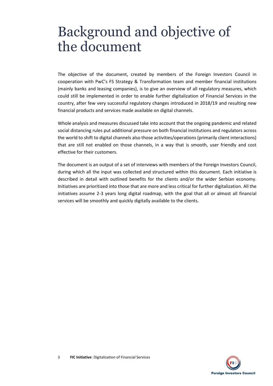## <span id="page-2-0"></span>Background and objective of the document

The objective of the document, created by members of the Foreign Investors Council in cooperation with PwC's FS Strategy & Transformation team and member financial institutions (mainly banks and leasing companies), is to give an overview of all regulatory measures, which could still be implemented in order to enable further digitalization of Financial Services in the country, after few very successful regulatory changes introduced in 2018/19 and resulting new financial products and services made available on digital channels.

Whole analysis and measures discussed take into account that the ongoing pandemic and related social distancing rules put additional pressure on both financial institutions and regulators across the world to shift to digital channels also those activities/operations (primarily client interactions) that are still not enabled on those channels, in a way that is smooth, user friendly and cost effective for their customers.

The document is an output of a set of interviews with members of the Foreign Investors Council, during which all the input was collected and structured within this document. Each initiative is described in detail with outlined benefits for the clients and/or the wider Serbian economy. Initiatives are prioritized into those that are more and less critical for further digitalization. All the initiatives assume 2-3 years long digital roadmap, with the goal that all or almost all financial services will be smoothly and quickly digitally available to the clients.

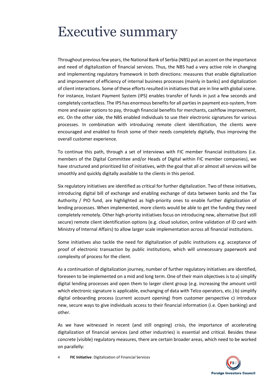## <span id="page-3-0"></span>Executive summary

Throughout previous few years, the National Bank of Serbia (NBS) put an accent on the importance and need of digitalization of financial services. Thus, the NBS had a very active role in changing and implementing regulatory framework in both directions: measures that enable digitalization and improvement of efficiency of internal business processes (mainly in banks) and digitalization of client interactions. Some of these efforts resulted in initiatives that are in line with global scene. For instance, Instant Payment System (IPS) enables transfer of funds in just a few seconds and completely contactless. The IPS has enormous benefits for all parties in payment eco-system, from more and easier options to pay, through financial benefits for merchants, cashflow improvement, etc. On the other side, the NBS enabled individuals to use their electronic signatures for various processes. In combination with introducing remote client identification, the clients were encouraged and enabled to finish some of their needs completely digitally, thus improving the overall customer experience.

To continue this path, through a set of interviews with FIC member financial institutions (i.e. members of the Digital Committee and/or Heads of Digital within FIC member companies), we have structured and prioritized list of initiatives, with the goal that all or almost all services will be smoothly and quickly digitally available to the clients in this period.

Six regulatory initiatives are identified as critical for further digitalization. Two of these initiatives, introducing digital bill of exchange and enabling exchange of data between banks and the Tax Authority / PIO fund, are highlighted as high-priority ones to enable further digitalization of lending processes. When implemented, more clients would be able to get the funding they need completely remotely. Other high-priority initiatives focus on introducing new, alternative (but still secure) remote client identification options (e.g. cloud solution, online validation of ID card with Ministry of Internal Affairs) to allow larger scale implementation across all financial institutions.

Some initiatives also tackle the need for digitalization of public institutions e.g. acceptance of proof of electronic transaction by public institutions, which will unnecessary paperwork and complexity of process for the client.

As a continuation of digitalization journey, number of further regulatory initiatives are identified, foreseen to be implemented on a mid and long term. One of their main objectives is to a) simplify digital lending processes and open them to larger client group (e.g. increasing the amount until which electronic signature is applicable, exchanging of data with Telco operators, etc.) b) simplify digital onboarding process (current account opening) from customer perspective c) introduce new, secure ways to give individuals access to their financial information (i.e. Open banking) and other.

As we have witnessed in recent (and still ongoing) crisis, the importance of accelerating digitalization of financial services (and other industries) is essential and critical. Besides these concrete (visible) regulatory measures, there are certain broader areas, which need to be worked on parallelly:

4 **FIC Initiative**: Digitalization of Financial Services

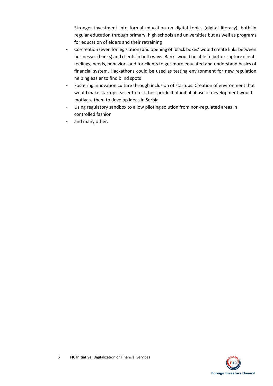- Stronger investment into formal education on digital topics (digital literacy), both in regular education through primary, high schools and universities but as well as programs for education of elders and their retraining
- Co-creation (even for legislation) and opening of 'black boxes' would create links between businesses (banks) and clients in both ways. Banks would be able to better capture clients feelings, needs, behaviors and for clients to get more educated and understand basics of financial system. Hackathons could be used as testing environment for new regulation helping easier to find blind spots
- Fostering innovation culture through inclusion of startups. Creation of environment that would make startups easier to test their product at initial phase of development would motivate them to develop ideas in Serbia
- Using regulatory sandbox to allow piloting solution from non-regulated areas in controlled fashion
- and many other.

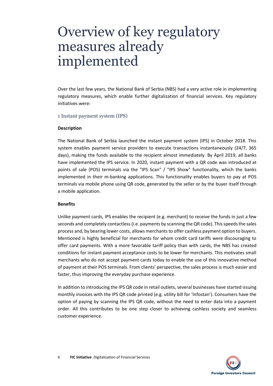## <span id="page-5-0"></span>Overview of key regulatory measures already implemented

Over the last few years, the National Bank of Serbia (NBS) had a very active role in implementing regulatory measures, which enable further digitalization of financial services. Key regulatory initiatives were:

<span id="page-5-1"></span>1 Instant payment system (IPS)

## **Description**

The National Bank of Serbia launched the instant payment system (IPS) in October 2018. This system enables payment service providers to execute transactions instantaneously (24/7, 365 days), making the funds available to the recipient almost immediately. By April 2019, all banks have implemented the IPS service. In 2020, instant payment with a QR code was introduced at points of sale (POS) terminals via the "IPS Scan" / "IPS Show" functionality, which the banks implemented in their m-banking applications. This functionality enables buyers to pay at POS terminals via mobile phone using QR code, generated by the seller or by the buyer itself through a mobile application.

## **Benefits**

Unlike payment cards, IPS enables the recipient (e.g. merchant) to receive the funds in just a few seconds and completely contactless (i.e. payments by scanning the QR code). This speeds the sales process and, by bearing lower costs, allows merchants to offer cashless payment option to buyers. Mentioned is highly beneficial for merchants for whom credit card tariffs were discouraging to offer card payments. With a more favorable tariff policy than with cards, the NBS has created conditions for instant payment acceptance costs to be lower for merchants. This motivates small merchants who do not accept payment cards today to enable the use of this innovative method of payment at their POS terminals. From clients' perspective, the sales process is much easier and faster, thus improving the everyday purchase experience.

In addition to introducing the IPS QR code in retail outlets, several businesses have started issuing monthly invoices with the IPS QR code printed (e.g. utility bill for 'Infostan'). Consumers have the option of paying by scanning the IPS QR code, without the need to enter data into a payment order. All this contributes to be one step closer to achieving cashless society and seamless customer experience.

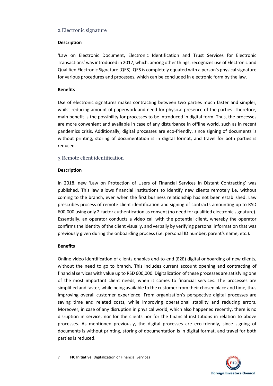## <span id="page-6-0"></span>2 Electronic signature

## **Description**

'Law on Electronic Document, Electronic Identification and Trust Services for Electronic Transactions' was introduced in 2017, which, among other things, recognizes use of Electronic and Qualified Electronic Signature (QES). QES is completely equated with a person's physical signature for various procedures and processes, which can be concluded in electronic form by the law.

## **Benefits**

Use of electronic signatures makes contracting between two parties much faster and simpler, whilst reducing amount of paperwork and need for physical presence of the parties. Therefore, main benefit is the possibility for processes to be introduced in digital form. Thus, the processes are more convenient and available in case of any disturbance in offline world, such as in recent pandemics crisis. Additionally, digital processes are eco-friendly, since signing of documents is without printing, storing of documentation is in digital format, and travel for both parties is reduced.

## <span id="page-6-1"></span>3 Remote client identification

## **Description**

In 2018, new 'Law on Protection of Users of Financial Services in Distant Contracting' was published. This law allows financial institutions to identify new clients remotely i.e. without coming to the branch, even when the first business relationship has not been established. Law prescribes process of remote client identification and signing of contracts amounting up to RSD 600,000 using only 2-factor authentication as consent (no need for qualified electronic signature). Essentially, an operator conducts a video call with the potential client, whereby the operator confirms the identity of the client visually, and verbally by verifying personal information that was previously given during the onboarding process (i.e. personal ID number, parent's name, etc.).

## **Benefits**

Online video identification of clients enables end-to-end (E2E) digital onboarding of new clients, without the need to go to branch. This includes current account opening and contracting of financial services with value up to RSD 600,000. Digitalization of these processes are satisfying one of the most important client needs, when it comes to financial services. The processes are simplified and faster, while being available to the customer from their chosen place and time, thus improving overall customer experience. From organization's perspective digital processes are saving time and related costs, while improving operational stability and reducing errors. Moreover, in case of any disruption in physical world, which also happened recently, there is no disruption in service, nor for the clients nor for the financial institutions in relation to above processes. As mentioned previously, the digital processes are eco-friendly, since signing of documents is without printing, storing of documentation is in digital format, and travel for both parties is reduced.

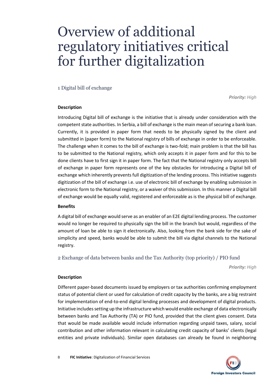## <span id="page-7-0"></span>Overview of additional regulatory initiatives critical for further digitalization

## <span id="page-7-1"></span>1 Digital bill of exchange

*Priority: High*

## **Description**

Introducing Digital bill of exchange is the initiative that is already under consideration with the competent state authorities. In Serbia, a bill of exchange is the main mean of securing a bank loan. Currently, it is provided in paper form that needs to be physically signed by the client and submitted in (paper form) to the National registry of bills of exchange in order to be enforceable. The challenge when it comes to the bill of exchange is two-fold; main problem is that the bill has to be submitted to the National registry, which only accepts it in paper form and for this to be done clients have to first sign it in paper form. The fact that the National registry only accepts bill of exchange in paper form represents one of the key obstacles for introducing a Digital bill of exchange which inherently prevents full digitization of the lending process. This initiative suggests digitization of the bill of exchange i.e. use of electronic bill of exchange by enabling submission in electronic form to the National registry, or a waiver of this submission. In this manner a Digital bill of exchange would be equally valid, registered and enforceable as is the physical bill of exchange.

## **Benefits**

A digital bill of exchange would serve as an enabler of an E2E digital lending process. The customer would no longer be required to physically sign the bill in the branch but would, regardless of the amount of loan be able to sign it electronically. Also, looking from the bank side for the sake of simplicity and speed, banks would be able to submit the bill via digital channels to the National registry.

<span id="page-7-2"></span>2 Exchange of data between banks and the Tax Authority (top priority) / PIO fund

*Priority: High*

## **Description**

Different paper-based documents issued by employers or tax authorities confirming employment status of potential client or used for calculation of credit capacity by the banks, are a big restraint for implementation of end-to-end digital lending processes and development of digital products. Initiative includes setting up the infrastructure which would enable exchange of data electronically between banks and Tax Authority (TA) or PIO fund, provided that the client gives consent. Data that would be made available would include information regarding unpaid taxes, salary, social contribution and other information relevant in calculating credit capacity of banks' clients (legal entities and private individuals). Similar open databases can already be found in neighboring

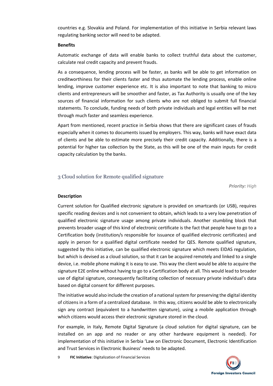countries e.g. Slovakia and Poland. For implementation of this initiative in Serbia relevant laws regulating banking sector will need to be adapted.

## **Benefits**

Automatic exchange of data will enable banks to collect truthful data about the customer, calculate real credit capacity and prevent frauds.

As a consequence, lending process will be faster, as banks will be able to get information on creditworthiness for their clients faster and thus automate the lending process, enable online lending, improve customer experience etc. It is also important to note that banking to micro clients and entrepreneurs will be smoother and faster, as Tax Authority is usually one of the key sources of financial information for such clients who are not obliged to submit full financial statements. To conclude, funding needs of both private individuals and legal entities will be met through much faster and seamless experience.

Apart from mentioned, recent practice in Serbia shows that there are significant cases of frauds especially when it comes to documents issued by employers. This way, banks will have exact data of clients and be able to estimate more precisely their credit capacity. Additionally, there is a potential for higher tax collection by the State, as this will be one of the main inputs for credit capacity calculation by the banks.

## <span id="page-8-0"></span>3 Cloud solution for Remote qualified signature

*Priority: High*

## **Description**

Current solution for Qualified electronic signature is provided on smartcards (or USB), requires specific reading devices and is not convenient to obtain, which leads to a very low penetration of qualified electronic signature usage among private individuals. Another stumbling block that prevents broader usage of this kind of electronic certificate is the fact that people have to go to a Certification body (institution/s responsible for issuance of qualified electronic certificates) and apply in person for a qualified digital certificate needed for QES. Remote qualified signature, suggested by this initiative, can be qualified electronic signature which meets EIDAS regulation, but which is devised as a cloud solution, so that it can be acquired remotely and linked to a single device, i.e. mobile phone making it is easy to use. This way the client would be able to acquire the signature E2E online without having to go to a Certification body at all. This would lead to broader use of digital signature, consequently facilitating collection of necessary private individual's data based on digital consent for different purposes.

The initiative would also include the creation of a national system for preserving the digital identity of citizens in a form of a centralized database. In this way, citizens would be able to electronically sign any contract (equivalent to a handwritten signature), using a mobile application through which citizens would access their electronic signature stored in the cloud.

For example, in Italy, Remote Digital Signature (a cloud solution for digital signature, can be installed on an app and no reader or any other hardware equipment is needed). For implementation of this initiative in Serbia 'Law on Electronic Document, Electronic Identification and Trust Services in Electronic Business' needs to be adapted.

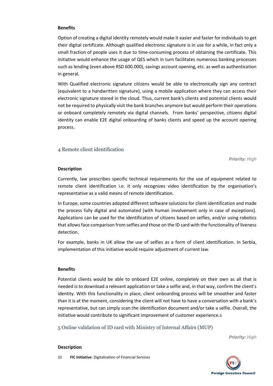## **Benefits**

Option of creating a digital identity remotely would make it easier and faster for individuals to get their digital certificate. Although qualified electronic signature is in use for a while, in fact only a small fraction of people uses it due to time-consuming process of obtaining the certificate. This initiative would enhance the usage of QES which in turn facilitates numerous banking processes such as lending (even above RSD 600.000), savings account opening, etc. as well as authentication in general.

With Qualified electronic signature citizens would be able to electronically sign any contract (equivalent to a handwritten signature), using a mobile application where they can access their electronic signature stored in the cloud. Thus, current bank's clients and potential clients would not be required to physically visit the bank branches anymore but would perform their operations or onboard completely remotely via digital channels. From banks' perspective, citizens digital identity can enable E2E digital onboarding of banks clients and speed up the account opening process.

## <span id="page-9-0"></span>4 Remote client identification

*Priority: High*

## **Description**

Currently, law prescribes specific technical requirements for the use of equipment related to remote client identification i.e. it only recognizes video identification by the organisation's representative as a valid means of remote identification.

In Europe, some countries adopted different software solutions for client identification and made the process fully digital and automated (with human involvement only in case of exceptions). Applications can be used for the identification of citizens based on selfies, and/or using robotics that allows face comparison from selfies and those on the ID card with the functionality of liveness detection.

For example, banks in UK allow the use of selfies as a form of client identification. In Serbia, implementation of this initiative would require adjustment of current law.

## **Benefits**

Potential clients would be able to onboard E2E online, completely on their own as all that is needed is to download a relevant application or take a selfie and, in that way, confirm the client's identity. With this functionality in place, client onboarding process will be smoother and faster than it is at the moment, considering the client will not have to have a conversation with a bank's representative, but can simply scan the identification document and/or take a selfie. Overall, the initiative would contribute to significant improvement of customer experience.s

<span id="page-9-1"></span>5 Online validation of ID card with Ministry of Internal Affairs (MUP)

*Priority: High*

#### **Description**

10 **FIC Initiative**: Digitalization of Financial Services

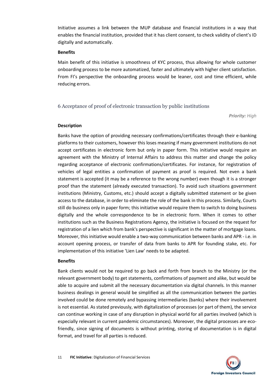Initiative assumes a link between the MUP database and financial institutions in a way that enables the financial institution, provided that it has client consent, to check validity of client's ID digitally and automatically.

#### **Benefits**

Main benefit of this initiative is smoothness of KYC process, thus allowing for whole customer onboarding process to be more automatized, faster and ultimately with higher client satisfaction. From FI's perspective the onboarding process would be leaner, cost and time efficient, while reducing errors.

## <span id="page-10-0"></span>6 Acceptance of proof of electronic transaction by public institutions

*Priority: High*

#### **Description**

Banks have the option of providing necessary confirmations/certificates through their e-banking platforms to their customers, however this loses meaning if many government institutions do not accept certificates in electronic form but only in paper form. This initiative would require an agreement with the Ministry of Internal Affairs to address this matter and change the policy regarding acceptance of electronic confirmations/certificates. For instance, for registration of vehicles of legal entities a confirmation of payment as proof is required. Not even a bank statement is accepted (it may be a reference to the wrong number) even though it is a stronger proof than the statement (already executed transaction). To avoid such situations government institutions (Ministry, Customs, etc.) should accept a digitally submitted statement or be given access to the database, in order to eliminate the role of the bank in this process. Similarly, Courts still do business only in paper form; this initiative would require them to switch to doing business digitally and the whole correspondence to be in electronic form. When it comes to other institutions such as the Business Registrations Agency, the initiative is focused on the request for registration of a lien which from bank's perspective is significant in the matter of mortgage loans. Moreover, this initiative would enable a two-way communication between banks and APR - i.e. in account opening process, or transfer of data from banks to APR for founding stake, etc. For implementation of this initiative 'Lien Law' needs to be adapted.

## **Benefits**

Bank clients would not be required to go back and forth from branch to the Ministry (or the relevant government body) to get statements, confirmations of payment and alike, but would be able to acquire and submit all the necessary documentation via digital channels. In this manner business dealings in general would be simplified as all the communication between the parties involved could be done remotely and bypassing intermediaries (banks) where their involvement is not essential. As stated previously, with digitalization of processes (or part of them), the service can continue working in case of any disruption in physical world for all parties involved (which is especially relevant in current pandemic circumstances). Moreover, the digital processes are ecofriendly, since signing of documents is without printing, storing of documentation is in digital format, and travel for all parties is reduced.

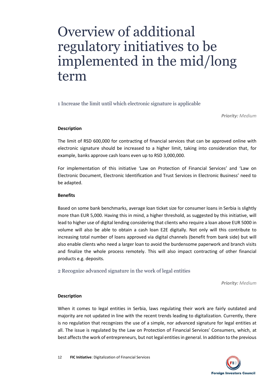## <span id="page-11-0"></span>Overview of additional regulatory initiatives to be implemented in the mid/long term

<span id="page-11-1"></span>1 Increase the limit until which electronic signature is applicable

*Priority: Medium*

## **Description**

The limit of RSD 600,000 for contracting of financial services that can be approved online with electronic signature should be increased to a higher limit, taking into consideration that, for example, banks approve cash loans even up to RSD 3,000,000.

For implementation of this initiative 'Law on Protection of Financial Services' and 'Law on Electronic Document, Electronic Identification and Trust Services in Electronic Business' need to be adapted.

## **Benefits**

Based on some bank benchmarks, average loan ticket size for consumer loans in Serbia is slightly more than EUR 5,000. Having this in mind, a higher threshold, as suggested by this initiative, will lead to higher use of digital lending considering that clients who require a loan above EUR 5000 in volume will also be able to obtain a cash loan E2E digitally. Not only will this contribute to increasing total number of loans approved via digital channels (benefit from bank side) but will also enable clients who need a larger loan to avoid the burdensome paperwork and branch visits and finalize the whole process remotely. This will also impact contracting of other financial products e.g. deposits.

<span id="page-11-2"></span>2 Recognize advanced signature in the work of legal entities

*Priority: Medium*

## **Description**

When it comes to legal entities in Serbia, laws regulating their work are fairly outdated and majority are not updated in line with the recent trends leading to digitalization. Currently, there is no regulation that recognizes the use of a simple, nor advanced signature for legal entities at all. The issue is regulated by the Law on Protection of Financial Services' Consumers, which, at best affects the work of entrepreneurs, but not legal entities in general. In addition to the previous

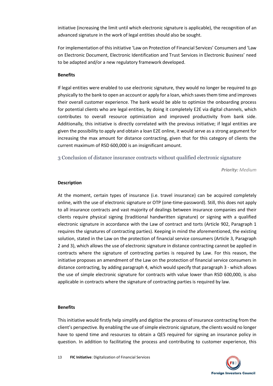initiative (increasing the limit until which electronic signature is applicable), the recognition of an advanced signature in the work of legal entities should also be sought.

For implementation of this initiative 'Law on Protection of Financial Services' Consumers and 'Law on Electronic Document, Electronic Identification and Trust Services in Electronic Business' need to be adapted and/or a new regulatory framework developed.

## **Benefits**

If legal entities were enabled to use electronic signature, they would no longer be required to go physically to the bank to open an account or apply for a loan, which saves them time and improves their overall customer experience. The bank would be able to optimize the onboarding process for potential clients who are legal entities, by doing it completely E2E via digital channels, which contributes to overall resource optimization and improved productivity from bank side. Additionally, this initiative is directly correlated with the previous initiative; if legal entities are given the possibility to apply and obtain a loan E2E online, it would serve as a strong argument for increasing the max amount for distance contracting, given that for this category of clients the current maximum of RSD 600,000 is an insignificant amount.

<span id="page-12-0"></span>3 Conclusion of distance insurance contracts without qualified electronic signature

*Priority: Medium*

## **Description**

At the moment, certain types of insurance (i.e. travel insurance) can be acquired completely online, with the use of electronic signature or OTP (one-time-password). Still, this does not apply to all insurance contracts and vast majority of dealings between insurance companies and their clients require physical signing (traditional handwritten signature) or signing with a qualified electronic signature in accordance with the Law of contract and torts (Article 902, Paragraph 1 requires the signatures of contracting parties). Keeping in mind the aforementioned, the existing solution, stated in the Law on the protection of financial service consumers (Article 3, Paragraph 2 and 3), which allows the use of electronic signature in distance contracting cannot be applied in contracts where the signature of contracting parties is required by Law. For this reason, the initiative proposes an amendment of the Law on the protection of financial service consumers in distance contracting, by adding paragraph 4, which would specify that paragraph 3 - which allows the use of simple electronic signature for contracts with value lower than RSD 600,000, is also applicable in contracts where the signature of contracting parties is required by law.

## **Benefits**

This initiative would firstly help simplify and digitize the process of insurance contracting from the client's perspective. By enabling the use of simple electronic signature, the clients would no longer have to spend time and resources to obtain a QES required for signing an insurance policy in question. In addition to facilitating the process and contributing to customer experience, this

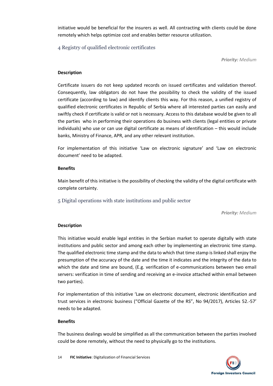initiative would be beneficial for the insurers as well. All contracting with clients could be done remotely which helps optimize cost and enables better resource utilization.

<span id="page-13-0"></span>4 Registry of qualified electronic certificates

*Priority: Medium*

## **Description**

Certificate issuers do not keep updated records on issued certificates and validation thereof. Consequently, law obligators do not have the possibility to check the validity of the issued certificate (according to law) and identify clients this way. For this reason, a unified registry of qualified electronic certificates in Republic of Serbia where all interested parties can easily and swiftly check if certificate is valid or not is necessary. Access to this database would be given to all the parties who in performing their operations do business with clients (legal entities or private individuals) who use or can use digital certificate as means of identification – this would include banks, Ministry of Finance, APR, and any other relevant institution.

For implementation of this initiative 'Law on electronic signature' and 'Law on electronic document' need to be adapted.

## **Benefits**

Main benefit of this initiative is the possibility of checking the validity of the digital certificate with complete certainty.

<span id="page-13-1"></span>5 Digital operations with state institutions and public sector

*Priority: Medium*

## **Description**

This initiative would enable legal entities in the Serbian market to operate digitally with state institutions and public sector and among each other by implementing an electronic time stamp. The qualified electronic time stamp and the data to which that time stamp is linked shall enjoy the presumption of the accuracy of the date and the time it indicates and the integrity of the data to which the date and time are bound, (E.g. verification of e-communications between two email servers: verification in time of sending and receiving an e-invoice attached within email between two parties).

For implementation of this initiative 'Law on electronic document, electronic identification and trust services in electronic business ("Official Gazette of the RS", No 94/2017), Articles 52.-57' needs to be adapted.

## **Benefits**

The business dealings would be simplified as all the communication between the parties involved could be done remotely, without the need to physically go to the institutions.

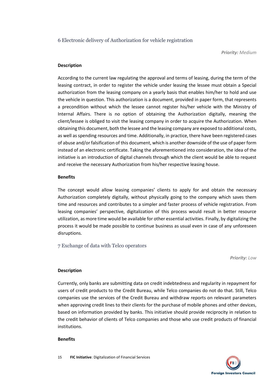## <span id="page-14-0"></span>6 Electronic delivery of Authorization for vehicle registration

*Priority: Medium*

## **Description**

According to the current law regulating the approval and terms of leasing, during the term of the leasing contract, in order to register the vehicle under leasing the lessee must obtain a Special authorization from the leasing company on a yearly basis that enables him/her to hold and use the vehicle in question. This authorization is a document, provided in paper form, that represents a precondition without which the lessee cannot register his/her vehicle with the Ministry of Internal Affairs. There is no option of obtaining the Authorization digitally, meaning the client/lessee is obliged to visit the leasing company in order to acquire the Authorization. When obtaining this document, both the lessee and the leasing company are exposed to additional costs, as well as spending resources and time. Additionally, in practice, there have been registered cases of abuse and/or falsification of this document, which is another downside of the use of paper form instead of an electronic certificate. Taking the aforementioned into consideration, the idea of the initiative is an introduction of digital channels through which the client would be able to request and receive the necessary Authorization from his/her respective leasing house.

## **Benefits**

The concept would allow leasing companies' clients to apply for and obtain the necessary Authorization completely digitally, without physically going to the company which saves them time and resources and contributes to a simpler and faster process of vehicle registration. From leasing companies' perspective, digitalization of this process would result in better resource utilization, as more time would be available for other essential activities. Finally, by digitalizing the process it would be made possible to continue business as usual even in case of any unforeseen disruptions.

<span id="page-14-1"></span>7 Exchange of data with Telco operators

*Priority: Low*

## **Description**

Currently, only banks are submitting data on credit indebtedness and regularity in repayment for users of credit products to the Credit Bureau, while Telco companies do not do that. Still, Telco companies use the services of the Credit Bureau and withdraw reports on relevant parameters when approving credit lines to their clients for the purchase of mobile phones and other devices, based on information provided by banks. This initiative should provide reciprocity in relation to the credit behavior of clients of Telco companies and those who use credit products of financial institutions.

## **Benefits**

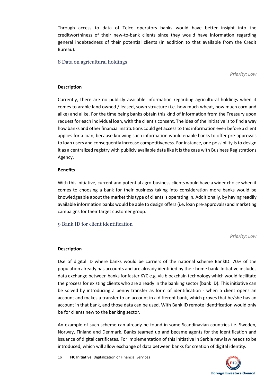Through access to data of Telco operators banks would have better insight into the creditworthiness of their new-to-bank clients since they would have information regarding general indebtedness of their potential clients (in addition to that available from the Credit Bureau).

<span id="page-15-0"></span>8 Data on agricultural holdings

*Priority: Low*

## **Description**

Currently, there are no publicly available information regarding agricultural holdings when it comes to arable land owned / leased, sown structure (i.e. how much wheat, how much corn and alike) and alike. For the time being banks obtain this kind of information from the Treasury upon request for each individual loan, with the client's consent. The idea of the initiative is to find a way how banks and other financial institutions could get access to this information even before a client applies for a loan, because knowing such information would enable banks to offer pre-approvals to loan users and consequently increase competitiveness. For instance, one possibility is to design it as a centralized registry with publicly available data like it is the case with Business Registrations Agency.

## **Benefits**

With this initiative, current and potential agro-business clients would have a wider choice when it comes to choosing a bank for their business taking into consideration more banks would be knowledgeable about the market this type of clients is operating in. Additionally, by having readily available information banks would be able to design offers (i.e. loan pre-approvals) and marketing campaigns for their target customer group.

<span id="page-15-1"></span>9 Bank ID for client identification

*Priority: Low*

## **Description**

Use of digital ID where banks would be carriers of the national scheme BankID. 70% of the population already has accounts and are already identified by their home bank. Initiative includes data exchange between banks for faster KYC e.g. via blockchain technology which would facilitate the process for existing clients who are already in the banking sector (bank ID). This initiative can be solved by introducing a penny transfer as form of identification - when a client opens an account and makes a transfer to an account in a different bank, which proves that he/she has an account in that bank, and those data can be used. With Bank ID remote identification would only be for clients new to the banking sector.

An example of such scheme can already be found in some Scandinavian countries i.e. Sweden, Norway, Finland and Denmark. Banks teamed up and became agents for the identification and issuance of digital certificates. For implementation of this initiative in Serbia new law needs to be introduced, which will allow exchange of data between banks for creation of digital identity.

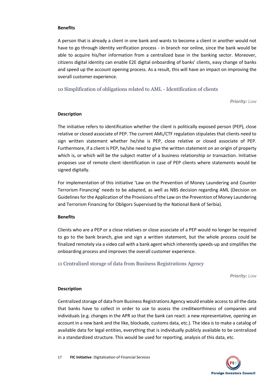## **Benefits**

A person that is already a client in one bank and wants to become a client in another would not have to go through identity verification process - in branch nor online, since the bank would be able to acquire his/her information from a centralized base in the banking sector. Moreover, citizens digital identity can enable E2E digital onboarding of banks' clients, easy change of banks and speed up the account opening process. As a result, this will have an impact on improving the overall customer experience.

<span id="page-16-0"></span>10 Simplification of obligations related to AML - Identification of clients

*Priority: Low*

## **Description**

The initiative refers to identification whether the client is politically exposed person (PEP), close relative or closed associate of PEP. The current AML/CTF regulation stipulates that clients need to sign written statement whether he/she is PEP, close relative or closed associate of PEP. Furthermore, if a client is PEP, he/she need to give the written statement on an origin of property which is, or which will be the subject matter of a business relationship or transaction. Initiative proposes use of remote client identification in case of PEP clients where statements would be signed digitally.

For implementation of this initiative 'Law on the Prevention of Money Laundering and Counter Terrorism Financing' needs to be adapted, as well as NBS decision regarding AML (Decision on Guidelines for the Application of the Provisions of the Law on the Prevention of Money Laundering and Terrorism Financing for Obligors Supervised by the National Bank of Serbia).

## **Benefits**

Clients who are a PEP or a close relatives or close associate of a PEP would no longer be required to go to the bank branch, give and sign a written statement, but the whole process could be finalized remotely via a video call with a bank agent which inherently speeds-up and simplifies the onboarding process and improves the overall customer experience.

<span id="page-16-1"></span>11 Centralized storage of data from Business Registrations Agency

*Priority: Low*

## **Description**

Centralized storage of data from Business Registrations Agency would enable access to all the data that banks have to collect in order to use to assess the creditworthiness of companies and individuals (e.g. changes in the APR so that the bank can react: a new representative, opening an account in a new bank and the like, blockade, customs data, etc.). The idea is to make a catalog of available data for legal entities, everything that is individually publicly available to be centralized in a standardized structure. This would be used for reporting, analysis of this data, etc.

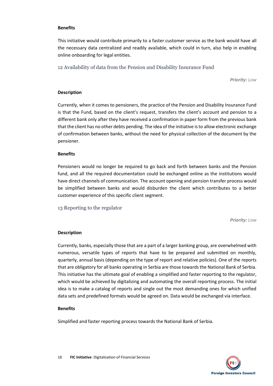## **Benefits**

This initiative would contribute primarily to a faster customer service as the bank would have all the necessary data centralized and readily available, which could in turn, also help in enabling online onboarding for legal entities.

<span id="page-17-0"></span>12 Availability of data from the Pension and Disability Insurance Fund

*Priority: Low*

#### **Description**

Currently, when it comes to pensioners, the practice of the Pension and Disability Insurance Fund is that the Fund, based on the client's request, transfers the client's account and pension to a different bank only after they have received a confirmation in paper form from the previous bank that the client has no other debts pending. The idea of the initiative isto allow electronic exchange of confirmation between banks, without the need for physical collection of the document by the pensioner.

## **Benefits**

Pensioners would no longer be required to go back and forth between banks and the Pension fund, and all the required documentation could be exchanged online as the institutions would have direct channels of communication. The account opening and pension transfer process would be simplified between banks and would disburden the client which contributes to a better customer experience of this specific client segment.

## <span id="page-17-1"></span>13 Reporting to the regulator

*Priority: Low*

## **Description**

Currently, banks, especially those that are a part of a larger banking group, are overwhelmed with numerous, versatile types of reports that have to be prepared and submitted on monthly, quarterly, annual basis (depending on the type of report and relative policies). One of the reports that are obligatory for all banks operating in Serbia are those towards the National Bank of Serbia. This initiative has the ultimate goal of enabling a simplified and faster reporting to the regulator, which would be achieved by digitalizing and automating the overall reporting process. The initial idea is to make a catalog of reports and single out the most demanding ones for which unified data sets and predefined formats would be agreed on. Data would be exchanged via interface.

#### **Benefits**

Simplified and faster reporting process towards the National Bank of Serbia.

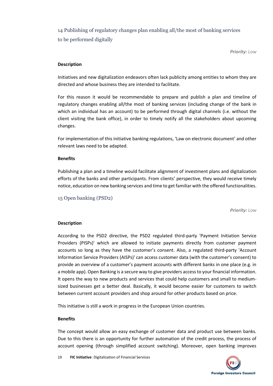<span id="page-18-0"></span>14 Publishing of regulatory changes plan enabling all/the most of banking services to be performed digitally

*Priority: Low*

## **Description**

Initiatives and new digitalization endeavors often lack publicity among entities to whom they are directed and whose business they are intended to facilitate.

For this reason it would be recommendable to prepare and publish a plan and timeline of regulatory changes enabling all/the most of banking services (including change of the bank in which an individual has an account) to be performed through digital channels (i.e. without the client visiting the bank office), in order to timely notify all the stakeholders about upcoming changes.

For implementation of this initiative banking regulations, 'Law on electronic document' and other relevant laws need to be adapted.

## **Benefits**

Publishing a plan and a timeline would facilitate alignment of investment plans and digitalization efforts of the banks and other participants. From clients' perspective, they would receive timely notice, education on new banking services and time to get familiar with the offered functionalities.

<span id="page-18-1"></span>15 Open banking (PSD2)

*Priority: Low*

## **Description**

According to the PSD2 directive, the PSD2 regulated third-party 'Payment Initiation Service Providers (PISPs)' which are allowed to initiate payments directly from customer payment accounts so long as they have the customer's consent. Also, a regulated third-party 'Account Information Service Providers (AISPs)' can access customer data (with the customer's consent) to provide an overview of a customer's payment accounts with different banks in one place (e.g. in a mobile app). Open Banking is a secure way to give providers access to your financial information. It opens the way to new products and services that could help customers and small to mediumsized businesses get a better deal. Basically, it would become easier for customers to switch between current account providers and shop around for other products based on price.

This initiative is still a work in progress in the European Union countries.

## **Benefits**

The concept would allow an easy exchange of customer data and product use between banks. Due to this there is an opportunity for further automation of the credit process, the process of account opening (through simplified account switching). Moreover, open banking improves

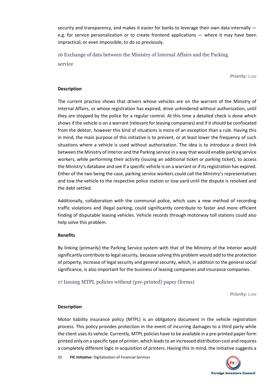security and transparency, and makes it easier for banks to leverage their own data internally e.g. for service personalization or to create frontend applications — where it may have been impractical, or even impossible, to do so previously.

<span id="page-19-0"></span>16 Exchange of data between the Ministry of Internal Affairs and the Parking service

*Priority: Low*

## **Description**

The current practice shows that drivers whose vehicles are on the warrant of the Ministry of Internal Affairs, or whose registration has expired, drive unhindered without authorization, until they are stopped by the police for a regular control. At this time a detailed check is done which shows if the vehicle is on a warrant (relevant for leasing companies) and if it should be confiscated from the debtor, however this kind of situations is more of an exception than a rule. Having this in mind, the main purpose of this initiative is to prevent, or at least lower the frequency of such situations where a vehicle is used without authorization. The idea is to introduce a direct link between the Ministry of Interior and the Parking service in a way that would enable parking service workers, while performing their activity (issuing an additional ticket or parking ticket), to access the Ministry's database and see if a specific vehicle is on a warrant or if its registration has expired. Either of the two being the case, parking service workers could call the Ministry's representatives and tow the vehicle to the respective police station or tow yard until the dispute is resolved and the debt settled.

Additionally, collaboration with the communal police, which uses a new method of recording traffic violations and illegal parking, could significantly contribute to faster and more efficient finding of disputable leasing vehicles. Vehicle records through motorway toll stations could also help solve this problem.

## **Benefits**

By linking (primarily) the Parking Service system with that of the Ministry of the Interior would significantly contribute to legal security, because solving this problem would add to the protection of property, increase of legal security and general security, which, in addition to the general social significance, is also important for the business of leasing companies and insurance companies.

<span id="page-19-1"></span>17 Issuing MTPL policies without (pre-printed) paper (forms)

*Priority: Low*

## **Description**

Motor liability insurance policy (MTPL) is an obligatory document in the vehicle registration process. This policy provides protection in the event of incurring damages to a third party while the client uses its vehicle. Currently, MTPL policies have to be available in a pre-printed paper form printed only on a specific type of printer, which leads to an increased distribution cost and requires a completely different logic in acquisition of printers. Having this in mind, the initiative suggests a

20 **FIC Initiative**: Digitalization of Financial Services